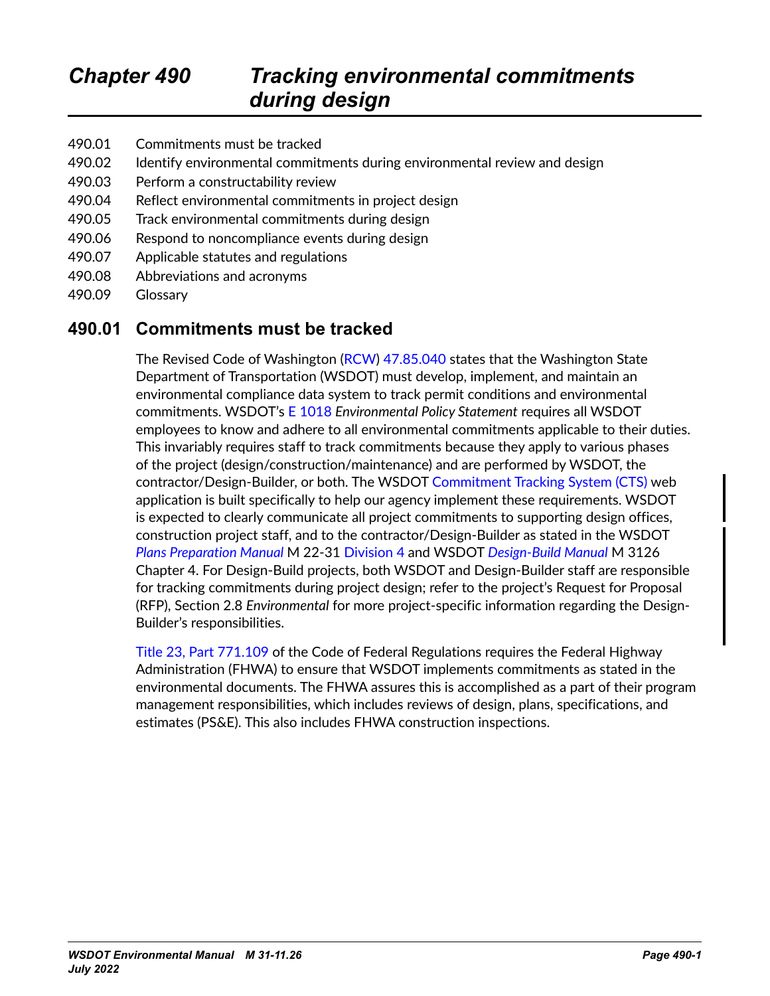- 490.01 Commitments must be tracked
- 490.02 Identify environmental commitments during environmental review and design
- 490.03 Perform a constructability review
- 490.04 Reflect environmental commitments in project design
- 490.05 Track environmental commitments during design
- 490.06 Respond to noncompliance events during design
- 490.07 Applicable statutes and regulations
- 490.08 Abbreviations and acronyms
- 490.09 Glossary

#### **490.01 Commitments must be tracked**

The Revised Code of Washington ([RCW](https://app.leg.wa.gov/RCW/default.aspx?cite=47.85.040)) [47.85.040](https://app.leg.wa.gov/RCW/default.aspx?cite=47.85.040) states that the Washington State Department of Transportation (WSDOT) must develop, implement, and maintain an environmental compliance data system to track permit conditions and environmental commitments. WSDOT's [E 1018](http://wwwi.wsdot.wa.gov/publications/policies/fulltext/1018.pdf) *Environmental Policy Statement* requires all WSDOT employees to know and adhere to all environmental commitments applicable to their duties. This invariably requires staff to track commitments because they apply to various phases of the project (design/construction/maintenance) and are performed by WSDOT, the contractor/Design-Builder, or both. The WSDOT [Commitment Tracking System \(CTS\) web](https://remoteapps.wsdot.wa.gov/audit/compliance/commitments/Default.aspx)  [application](https://remoteapps.wsdot.wa.gov/audit/compliance/commitments/Default.aspx) is built specifically to help our agency implement these requirements. WSDOT is expected to clearly communicate all project commitments to supporting design offices, construction project staff, and to the contractor/Design-Builder as stated in the WSDOT *[Plans Preparation Manual](https://wsdot.wa.gov/engineering-standards/all-manuals-and-standards/manuals/plans-preparation-manual)* M 22-31 [Division 4](http://www.wsdot.wa.gov/publications/manuals/fulltext/M22-31/Division4.pdf) and WSDOT *[Design-Build Manual](https://www.wsdot.wa.gov/publications/manuals/fulltext/M3126/DBM.pdf)* M 3126 Chapter 4. For Design-Build projects, both WSDOT and Design-Builder staff are responsible for tracking commitments during project design; refer to the project's Request for Proposal (RFP), Section 2.8 *Environmental* for more project-specific information regarding the Design-Builder's responsibilities.

[Title 23, Part 771.109](https://www.ecfr.gov/current/title-23/chapter-I/subchapter-H/part-771/section-771.109) of the Code of Federal Regulations requires the Federal Highway Administration (FHWA) to ensure that WSDOT implements commitments as stated in the environmental documents. The FHWA assures this is accomplished as a part of their program management responsibilities, which includes reviews of design, plans, specifications, and estimates (PS&E). This also includes FHWA construction inspections.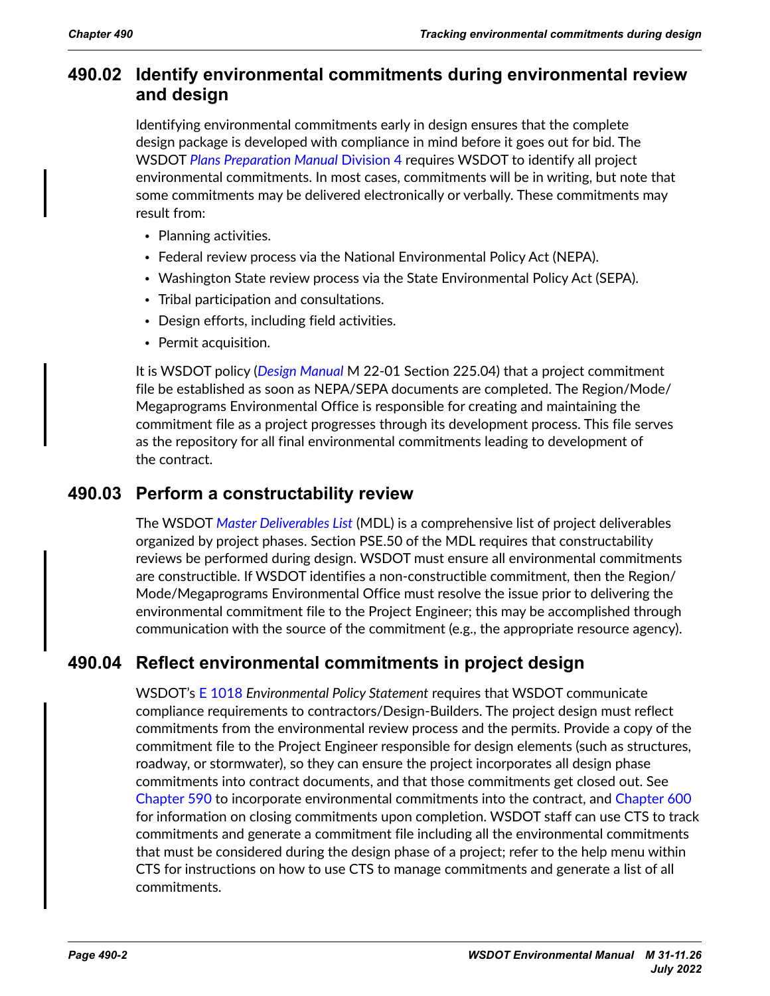# **490.02 Identify environmental commitments during environmental review and design**

Identifying environmental commitments early in design ensures that the complete design package is developed with compliance in mind before it goes out for bid. The WSDOT *[Plans Preparation Manual](https://wsdot.wa.gov/engineering-standards/all-manuals-and-standards/manuals/plans-preparation-manual)* [Division 4](http://www.wsdot.wa.gov/publications/manuals/fulltext/M22-31/Division4.pdf) requires WSDOT to identify all project environmental commitments. In most cases, commitments will be in writing, but note that some commitments may be delivered electronically or verbally. These commitments may result from:

- Planning activities.
- Federal review process via the National Environmental Policy Act (NEPA).
- Washington State review process via the State Environmental Policy Act (SEPA).
- Tribal participation and consultations.
- Design efforts, including field activities.
- Permit acquisition.

It is WSDOT policy (*[Design Manual](https://wsdot.wa.gov/engineering-standards/all-manuals-and-standards/manuals/design-manual)* M 22-01 Section 225.04) that a project commitment file be established as soon as NEPA/SEPA documents are completed. The Region/Mode/ Megaprograms Environmental Office is responsible for creating and maintaining the commitment file as a project progresses through its development process. This file serves as the repository for all final environmental commitments leading to development of the contract.

## **490.03 Perform a constructability review**

The WSDOT *[Master Deliverables List](https://wsdot.wa.gov/engineering-standards/project-management-training/project-management/project-management-guide)* (MDL) is a comprehensive list of project deliverables organized by project phases. Section PSE.50 of the MDL requires that constructability reviews be performed during design. WSDOT must ensure all environmental commitments are constructible. If WSDOT identifies a non-constructible commitment, then the Region/ Mode/Megaprograms Environmental Office must resolve the issue prior to delivering the environmental commitment file to the Project Engineer; this may be accomplished through communication with the source of the commitment (e.g., the appropriate resource agency).

# **490.04 Reflect environmental commitments in project design**

WSDOT's [E 1018](http://wwwi.wsdot.wa.gov/publications/policies/fulltext/1018.pdf) *Environmental Policy Statement* requires that WSDOT communicate compliance requirements to contractors/Design-Builders. The project design must reflect commitments from the environmental review process and the permits. Provide a copy of the commitment file to the Project Engineer responsible for design elements (such as structures, roadway, or stormwater), so they can ensure the project incorporates all design phase commitments into contract documents, and that those commitments get closed out. See Chapter 590 to incorporate environmental commitments into the contract, and Chapter 600 for information on closing commitments upon completion. WSDOT staff can use CTS to track commitments and generate a commitment file including all the environmental commitments that must be considered during the design phase of a project; refer to the help menu within CTS for instructions on how to use CTS to manage commitments and generate a list of all commitments.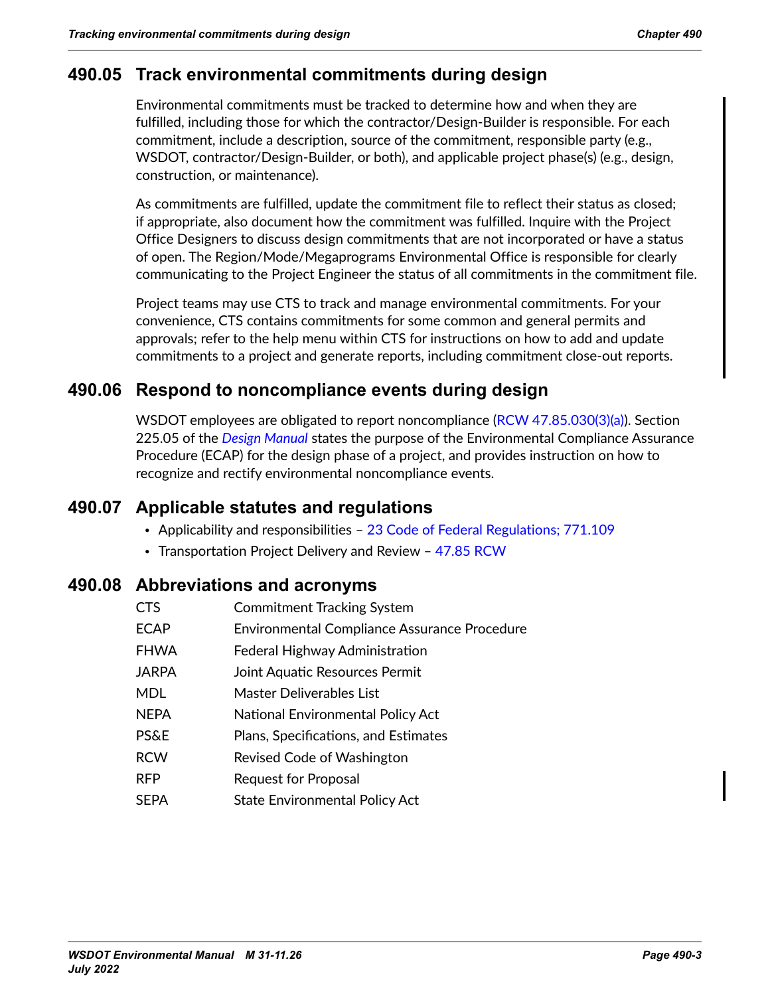# **490.05 Track environmental commitments during design**

Environmental commitments must be tracked to determine how and when they are fulfilled, including those for which the contractor/Design-Builder is responsible. For each commitment, include a description, source of the commitment, responsible party (e.g., WSDOT, contractor/Design-Builder, or both), and applicable project phase(s) (e.g., design, construction, or maintenance).

As commitments are fulfilled, update the commitment file to reflect their status as closed; if appropriate, also document how the commitment was fulfilled. Inquire with the Project Office Designers to discuss design commitments that are not incorporated or have a status of open. The Region/Mode/Megaprograms Environmental Office is responsible for clearly communicating to the Project Engineer the status of all commitments in the commitment file.

Project teams may use CTS to track and manage environmental commitments. For your convenience, CTS contains commitments for some common and general permits and approvals; refer to the help menu within CTS for instructions on how to add and update commitments to a project and generate reports, including commitment close-out reports.

## **490.06 Respond to noncompliance events during design**

WSDOT employees are obligated to report noncompliance [\(RCW 47.85.030\(3\)\(a\)](https://app.leg.wa.gov/RCW/default.aspx?cite=47.85.030)). Section 225.05 of the *[Design Manual](https://wsdot.wa.gov/engineering-standards/all-manuals-and-standards/manuals/design-manual)* states the purpose of the Environmental Compliance Assurance Procedure (ECAP) for the design phase of a project, and provides instruction on how to recognize and rectify environmental noncompliance events.

## **490.07 Applicable statutes and regulations**

- Applicability and responsibilities [23 Code of Federal Regulations; 771.109](https://www.ecfr.gov/current/title-23/chapter-I/subchapter-H/part-771/section-771.109)
- Transportation Project Delivery and Review - [47.85 RCW](https://app.leg.wa.gov/RCW/default.aspx?cite=47.85)

#### **490.08 Abbreviations and acronyms**

CTS Commitment Tracking System ECAP Environmental Compliance Assurance Procedure FHWA **Federal Highway Administration** JARPA Joint Aquatic Resources Permit MDL Master Deliverables List NEPA **National Environmental Policy Act** PS&E Plans, Specifications, and Estimates RCW Revised Code of Washington RFP Request for Proposal SEPA State Environmental Policy Act